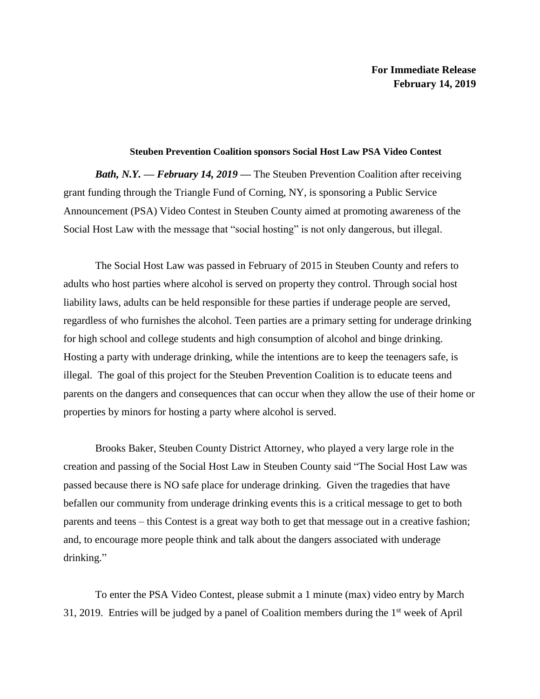## **Steuben Prevention Coalition sponsors Social Host Law PSA Video Contest**

*Bath, N.Y. — February 14, 2019* — The Steuben Prevention Coalition after receiving grant funding through the Triangle Fund of Corning, NY, is sponsoring a Public Service Announcement (PSA) Video Contest in Steuben County aimed at promoting awareness of the Social Host Law with the message that "social hosting" is not only dangerous, but illegal.

The Social Host Law was passed in February of 2015 in Steuben County and refers to adults who host parties where alcohol is served on property they control. Through social host liability laws, adults can be held responsible for these parties if underage people are served, regardless of who furnishes the alcohol. Teen parties are a primary setting for underage drinking for high school and college students and high consumption of alcohol and binge drinking. Hosting a party with underage drinking, while the intentions are to keep the teenagers safe, is illegal. The goal of this project for the Steuben Prevention Coalition is to educate teens and parents on the dangers and consequences that can occur when they allow the use of their home or properties by minors for hosting a party where alcohol is served.

Brooks Baker, Steuben County District Attorney, who played a very large role in the creation and passing of the Social Host Law in Steuben County said "The Social Host Law was passed because there is NO safe place for underage drinking. Given the tragedies that have befallen our community from underage drinking events this is a critical message to get to both parents and teens – this Contest is a great way both to get that message out in a creative fashion; and, to encourage more people think and talk about the dangers associated with underage drinking."

To enter the PSA Video Contest, please submit a 1 minute (max) video entry by March 31, 2019. Entries will be judged by a panel of Coalition members during the  $1<sup>st</sup>$  week of April